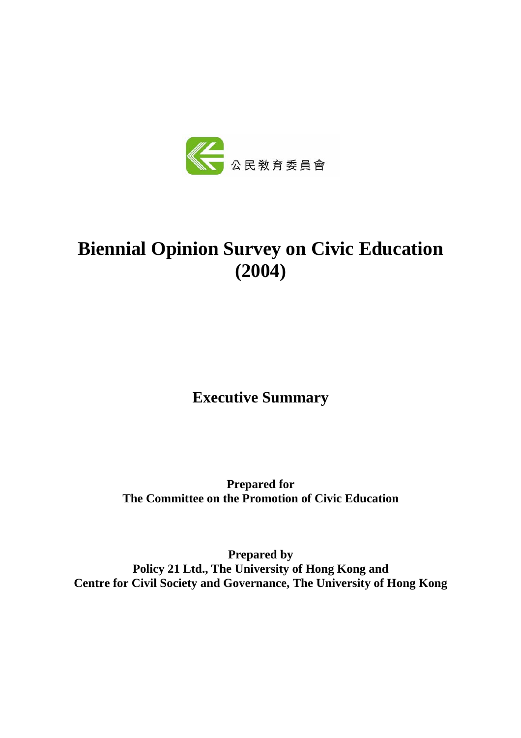

# **Biennial Opinion Survey on Civic Education (2004)**

**Executive Summary** 

**Prepared for The Committee on the Promotion of Civic Education** 

**Prepared by Policy 21 Ltd., The University of Hong Kong and Centre for Civil Society and Governance, The University of Hong Kong**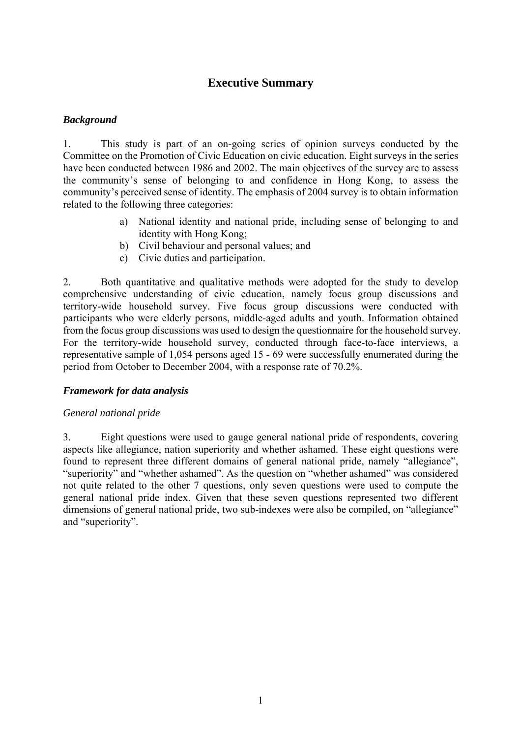# **Executive Summary**

## *Background*

1. This study is part of an on-going series of opinion surveys conducted by the Committee on the Promotion of Civic Education on civic education. Eight surveys in the series have been conducted between 1986 and 2002. The main objectives of the survey are to assess the community's sense of belonging to and confidence in Hong Kong, to assess the community's perceived sense of identity. The emphasis of 2004 survey is to obtain information related to the following three categories:

- a) National identity and national pride, including sense of belonging to and identity with Hong Kong;
- b) Civil behaviour and personal values; and
- c) Civic duties and participation.

2. Both quantitative and qualitative methods were adopted for the study to develop comprehensive understanding of civic education, namely focus group discussions and territory-wide household survey. Five focus group discussions were conducted with participants who were elderly persons, middle-aged adults and youth. Information obtained from the focus group discussions was used to design the questionnaire for the household survey. For the territory-wide household survey, conducted through face-to-face interviews, a representative sample of 1,054 persons aged 15 - 69 were successfully enumerated during the period from October to December 2004, with a response rate of 70.2%.

## *Framework for data analysis*

#### *General national pride*

3. Eight questions were used to gauge general national pride of respondents, covering aspects like allegiance, nation superiority and whether ashamed. These eight questions were found to represent three different domains of general national pride, namely "allegiance", "superiority" and "whether ashamed". As the question on "whether ashamed" was considered not quite related to the other 7 questions, only seven questions were used to compute the general national pride index. Given that these seven questions represented two different dimensions of general national pride, two sub-indexes were also be compiled, on "allegiance" and "superiority".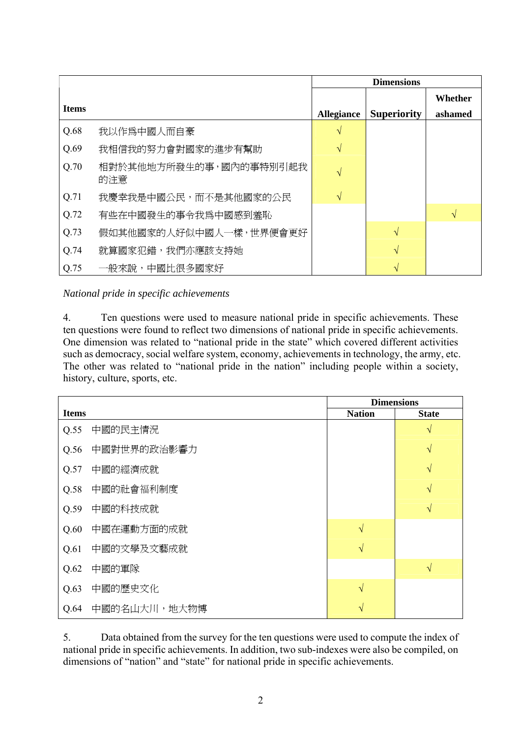|              |                               | <b>Dimensions</b> |                    |                    |
|--------------|-------------------------------|-------------------|--------------------|--------------------|
| <b>Items</b> |                               | <b>Allegiance</b> | <b>Superiority</b> | Whether<br>ashamed |
|              |                               |                   |                    |                    |
| Q.68         | 我以作爲中國人而自豪                    | $\sqrt{}$         |                    |                    |
| Q.69         | 我相信我的努力會對國家的進步有幫助             |                   |                    |                    |
| Q.70         | 相對於其他地方所發生的事,國內的事特別引起我<br>的注意 | V                 |                    |                    |
| Q.71         | 我慶幸我是中國公民,而不是其他國家的公民          | $\sqrt{}$         |                    |                    |
| Q.72         | 有些在中國發生的事令我爲中國感到羞恥            |                   |                    | $\sqrt{ }$         |
| Q.73         | 假如其他國家的人好似中國人一樣,世界便會更好        |                   | V                  |                    |
| Q.74         | 就算國家犯錯,我們亦應該支持她               |                   | V                  |                    |
| Q.75         | 一般來說,中國比很多國家好                 |                   |                    |                    |

*National pride in specific achievements* 

4. Ten questions were used to measure national pride in specific achievements. These ten questions were found to reflect two dimensions of national pride in specific achievements. One dimension was related to "national pride in the state" which covered different activities such as democracy, social welfare system, economy, achievements in technology, the army, etc. The other was related to "national pride in the nation" including people within a society, history, culture, sports, etc.

|              |               | <b>Dimensions</b> |              |  |
|--------------|---------------|-------------------|--------------|--|
| <b>Items</b> |               | <b>Nation</b>     | <b>State</b> |  |
| Q.55         | 中國的民主情況       |                   | $\sqrt{}$    |  |
| Q.56         | 中國對世界的政治影響力   |                   | $\sqrt{}$    |  |
| Q.57         | 中國的經濟成就       |                   | $\sqrt{}$    |  |
| Q.58         | 中國的社會福利制度     |                   | $\sqrt{}$    |  |
| Q.59         | 中國的科技成就       |                   | $\sqrt{}$    |  |
| Q.60         | 中國在運動方面的成就    | $\sqrt{ }$        |              |  |
| Q.61         | 中國的文學及文藝成就    | $\sqrt{ }$        |              |  |
| Q.62         | 中國的軍隊         |                   | $\sqrt{}$    |  |
| Q.63         | 中國的歷史文化       | $\sqrt{ }$        |              |  |
| Q.64         | 中國的名山大川, 地大物博 | $\sqrt{ }$        |              |  |

5. Data obtained from the survey for the ten questions were used to compute the index of national pride in specific achievements. In addition, two sub-indexes were also be compiled, on dimensions of "nation" and "state" for national pride in specific achievements.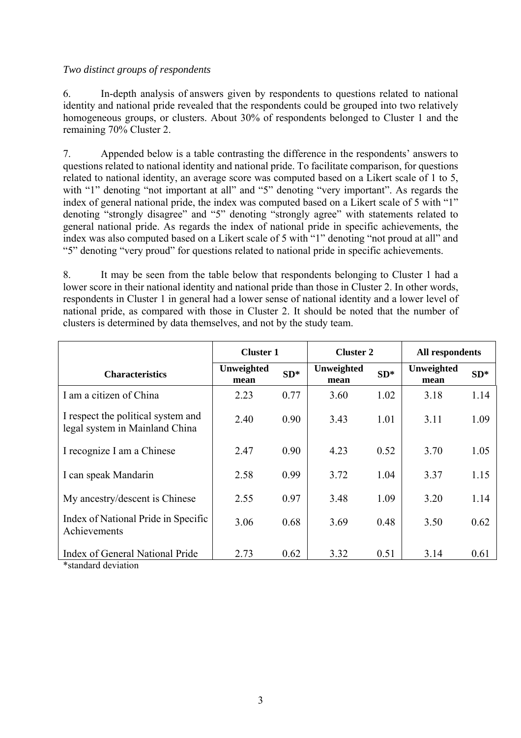#### *Two distinct groups of respondents*

6. In-depth analysis of answers given by respondents to questions related to national identity and national pride revealed that the respondents could be grouped into two relatively homogeneous groups, or clusters. About 30% of respondents belonged to Cluster 1 and the remaining 70% Cluster 2.

7. Appended below is a table contrasting the difference in the respondents' answers to questions related to national identity and national pride. To facilitate comparison, for questions related to national identity, an average score was computed based on a Likert scale of 1 to 5, with "1" denoting "not important at all" and "5" denoting "very important". As regards the index of general national pride, the index was computed based on a Likert scale of 5 with "1" denoting "strongly disagree" and "5" denoting "strongly agree" with statements related to general national pride. As regards the index of national pride in specific achievements, the index was also computed based on a Likert scale of 5 with "1" denoting "not proud at all" and "5" denoting "very proud" for questions related to national pride in specific achievements.

8. It may be seen from the table below that respondents belonging to Cluster 1 had a lower score in their national identity and national pride than those in Cluster 2. In other words, respondents in Cluster 1 in general had a lower sense of national identity and a lower level of national pride, as compared with those in Cluster 2. It should be noted that the number of clusters is determined by data themselves, and not by the study team.

|                                                                      | <b>Cluster 1</b>   |       | <b>Cluster 2</b>   |        | All respondents    |       |
|----------------------------------------------------------------------|--------------------|-------|--------------------|--------|--------------------|-------|
| <b>Characteristics</b>                                               | Unweighted<br>mean | $SD*$ | Unweighted<br>mean | $SD^*$ | Unweighted<br>mean | $SD*$ |
| I am a citizen of China                                              | 2.23               | 0.77  | 3.60               | 1.02   | 3.18               | 1.14  |
| I respect the political system and<br>legal system in Mainland China | 2.40               | 0.90  | 3.43               | 1.01   | 3.11               | 1.09  |
| I recognize I am a Chinese                                           | 2.47               | 0.90  | 4.23               | 0.52   | 3.70               | 1.05  |
| I can speak Mandarin                                                 | 2.58               | 0.99  | 3.72               | 1.04   | 3.37               | 1.15  |
| My ancestry/descent is Chinese                                       | 2.55               | 0.97  | 3.48               | 1.09   | 3.20               | 1.14  |
| Index of National Pride in Specific<br>Achievements                  | 3.06               | 0.68  | 3.69               | 0.48   | 3.50               | 0.62  |
| Index of General National Pride                                      | 2.73               | 0.62  | 3.32               | 0.51   | 3.14               | 0.61  |

\*standard deviation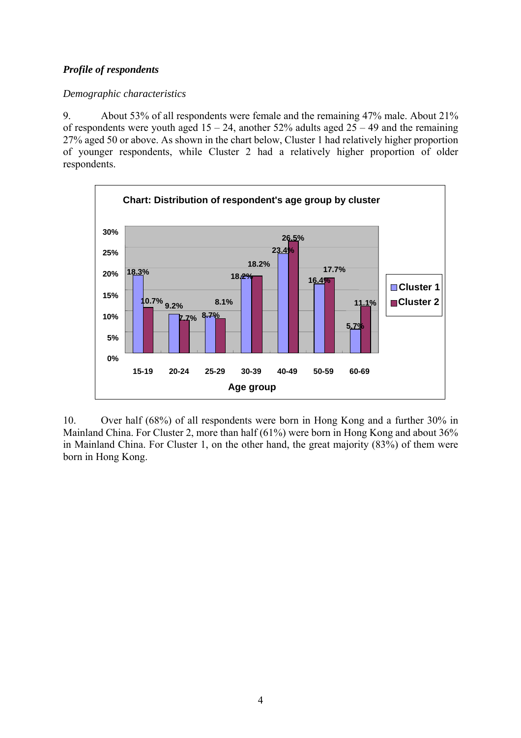## *Profile of respondents*

## *Demographic characteristics*

9. About 53% of all respondents were female and the remaining 47% male. About 21% of respondents were youth aged  $15 - 24$ , another 52% adults aged  $25 - 49$  and the remaining 27% aged 50 or above. As shown in the chart below, Cluster 1 had relatively higher proportion of younger respondents, while Cluster 2 had a relatively higher proportion of older respondents.



10. Over half (68%) of all respondents were born in Hong Kong and a further 30% in Mainland China. For Cluster 2, more than half (61%) were born in Hong Kong and about 36% in Mainland China. For Cluster 1, on the other hand, the great majority (83%) of them were born in Hong Kong.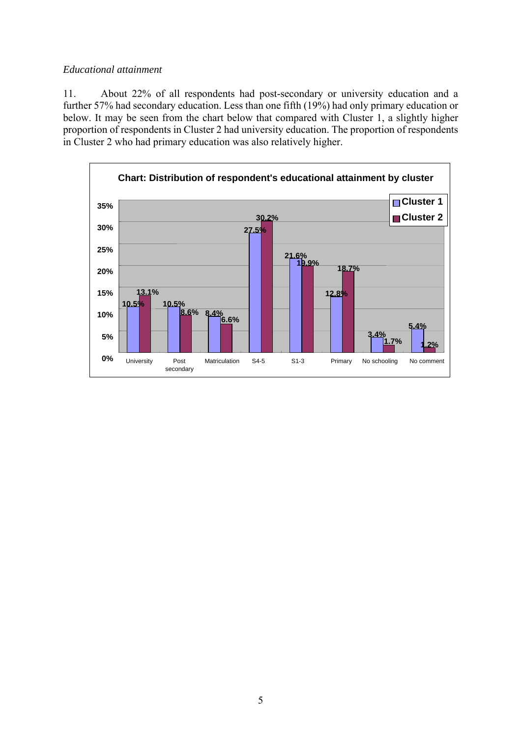#### *Educational attainment*

11. About 22% of all respondents had post-secondary or university education and a further 57% had secondary education. Less than one fifth (19%) had only primary education or below. It may be seen from the chart below that compared with Cluster 1, a slightly higher proportion of respondents in Cluster 2 had university education. The proportion of respondents in Cluster 2 who had primary education was also relatively higher.

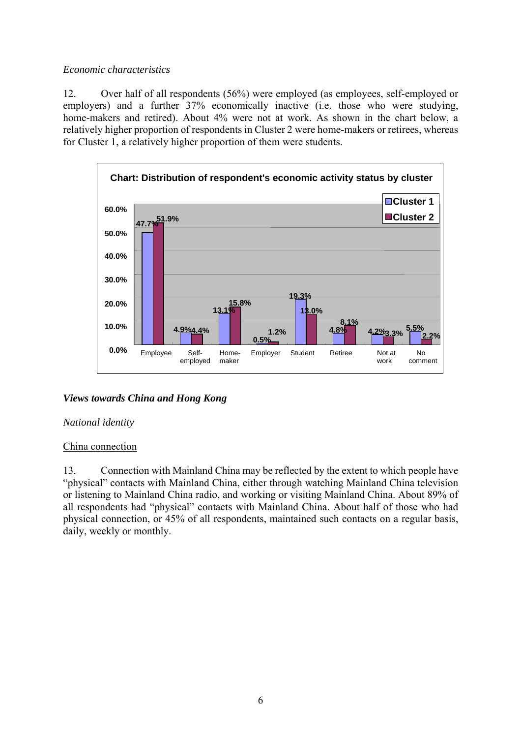## *Economic characteristics*

12. Over half of all respondents (56%) were employed (as employees, self-employed or employers) and a further  $37\%$  economically inactive (i.e. those who were studying, home-makers and retired). About 4% were not at work. As shown in the chart below, a relatively higher proportion of respondents in Cluster 2 were home-makers or retirees, whereas for Cluster 1, a relatively higher proportion of them were students.



# *Views towards China and Hong Kong*

## *National identity*

## China connection

13. Connection with Mainland China may be reflected by the extent to which people have "physical" contacts with Mainland China, either through watching Mainland China television or listening to Mainland China radio, and working or visiting Mainland China. About 89% of all respondents had "physical" contacts with Mainland China. About half of those who had physical connection, or 45% of all respondents, maintained such contacts on a regular basis, daily, weekly or monthly.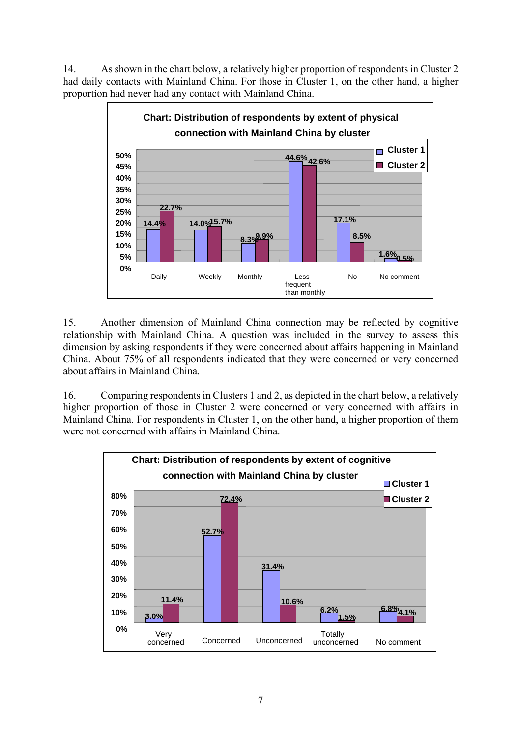14. As shown in the chart below, a relatively higher proportion of respondents in Cluster 2 had daily contacts with Mainland China. For those in Cluster 1, on the other hand, a higher proportion had never had any contact with Mainland China.



15. Another dimension of Mainland China connection may be reflected by cognitive relationship with Mainland China. A question was included in the survey to assess this dimension by asking respondents if they were concerned about affairs happening in Mainland China. About 75% of all respondents indicated that they were concerned or very concerned about affairs in Mainland China.

16. Comparing respondents in Clusters 1 and 2, as depicted in the chart below, a relatively higher proportion of those in Cluster 2 were concerned or very concerned with affairs in Mainland China. For respondents in Cluster 1, on the other hand, a higher proportion of them were not concerned with affairs in Mainland China.

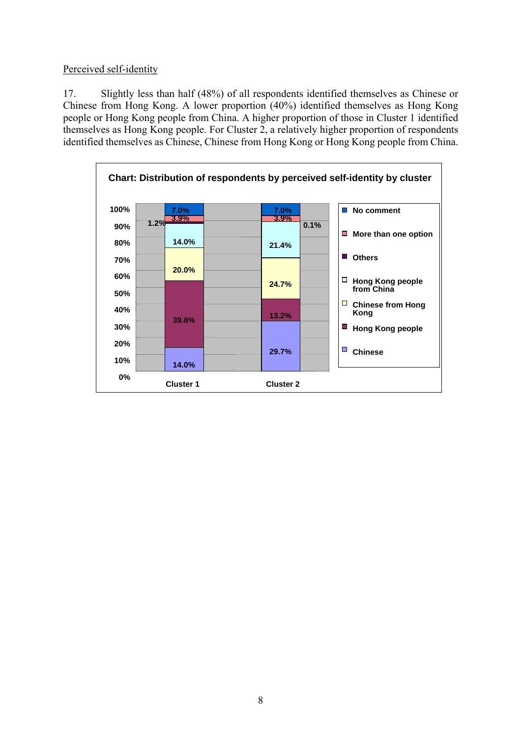Perceived self-identity

17. Slightly less than half (48%) of all respondents identified themselves as Chinese or Chinese from Hong Kong. A lower proportion (40%) identified themselves as Hong Kong people or Hong Kong people from China. A higher proportion of those in Cluster 1 identified themselves as Hong Kong people. For Cluster 2, a relatively higher proportion of respondents identified themselves as Chinese, Chinese from Hong Kong or Hong Kong people from China.

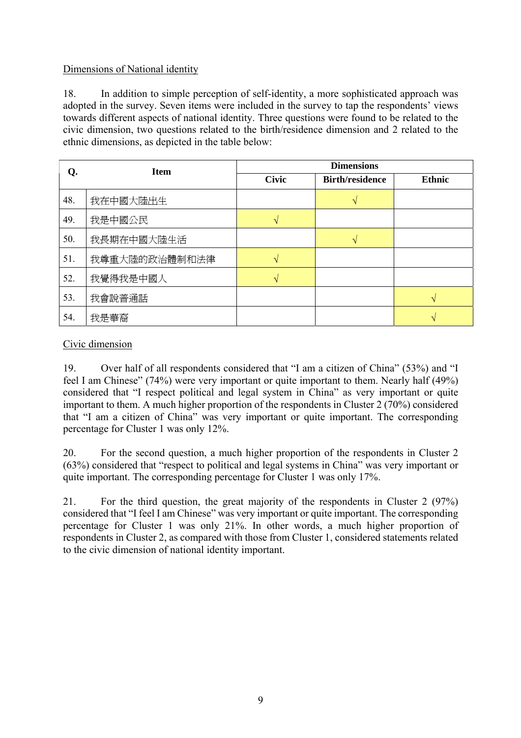## Dimensions of National identity

18. In addition to simple perception of self-identity, a more sophisticated approach was adopted in the survey. Seven items were included in the survey to tap the respondents' views towards different aspects of national identity. Three questions were found to be related to the civic dimension, two questions related to the birth/residence dimension and 2 related to the ethnic dimensions, as depicted in the table below:

| Q.  | <b>Item</b>   | <b>Dimensions</b> |                        |               |  |  |  |
|-----|---------------|-------------------|------------------------|---------------|--|--|--|
|     |               | <b>Civic</b>      | <b>Birth/residence</b> | <b>Ethnic</b> |  |  |  |
| 48. | 我在中國大陸出生      |                   |                        |               |  |  |  |
| 49. | 我是中國公民        |                   |                        |               |  |  |  |
| 50. | 我長期在中國大陸生活    |                   | N                      |               |  |  |  |
| 51. | 我尊重大陸的政治體制和法律 |                   |                        |               |  |  |  |
| 52. | 我覺得我是中國人      |                   |                        |               |  |  |  |
| 53. | 我會說普通話        |                   |                        |               |  |  |  |
| 54. | 我是華裔          |                   |                        |               |  |  |  |

## Civic dimension

19. Over half of all respondents considered that "I am a citizen of China" (53%) and "I feel I am Chinese" (74%) were very important or quite important to them. Nearly half (49%) considered that "I respect political and legal system in China" as very important or quite important to them. A much higher proportion of the respondents in Cluster 2 (70%) considered that "I am a citizen of China" was very important or quite important. The corresponding percentage for Cluster 1 was only 12%.

20. For the second question, a much higher proportion of the respondents in Cluster 2 (63%) considered that "respect to political and legal systems in China" was very important or quite important. The corresponding percentage for Cluster 1 was only 17%.

21. For the third question, the great majority of the respondents in Cluster 2 (97%) considered that "I feel I am Chinese" was very important or quite important. The corresponding percentage for Cluster 1 was only 21%. In other words, a much higher proportion of respondents in Cluster 2, as compared with those from Cluster 1, considered statements related to the civic dimension of national identity important.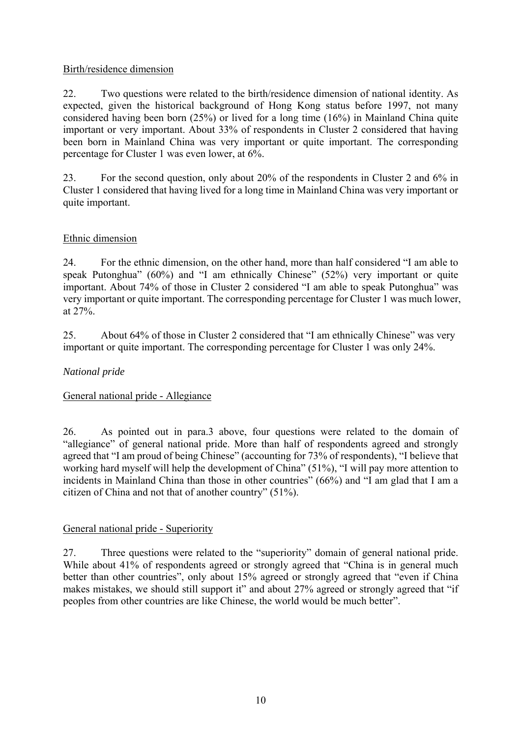## Birth/residence dimension

22. Two questions were related to the birth/residence dimension of national identity. As expected, given the historical background of Hong Kong status before 1997, not many considered having been born (25%) or lived for a long time (16%) in Mainland China quite important or very important. About 33% of respondents in Cluster 2 considered that having been born in Mainland China was very important or quite important. The corresponding percentage for Cluster 1 was even lower, at 6%.

23. For the second question, only about 20% of the respondents in Cluster 2 and 6% in Cluster 1 considered that having lived for a long time in Mainland China was very important or quite important.

## Ethnic dimension

24. For the ethnic dimension, on the other hand, more than half considered "I am able to speak Putonghua" (60%) and "I am ethnically Chinese" (52%) very important or quite important. About 74% of those in Cluster 2 considered "I am able to speak Putonghua" was very important or quite important. The corresponding percentage for Cluster 1 was much lower, at 27%.

25. About 64% of those in Cluster 2 considered that "I am ethnically Chinese" was very important or quite important. The corresponding percentage for Cluster 1 was only 24%.

## *National pride*

## General national pride - Allegiance

26. As pointed out in para.3 above, four questions were related to the domain of "allegiance" of general national pride. More than half of respondents agreed and strongly agreed that "I am proud of being Chinese" (accounting for 73% of respondents), "I believe that working hard myself will help the development of China" (51%), "I will pay more attention to incidents in Mainland China than those in other countries" (66%) and "I am glad that I am a citizen of China and not that of another country" (51%).

## General national pride - Superiority

27. Three questions were related to the "superiority" domain of general national pride. While about 41% of respondents agreed or strongly agreed that "China is in general much better than other countries", only about 15% agreed or strongly agreed that "even if China makes mistakes, we should still support it" and about 27% agreed or strongly agreed that "if" peoples from other countries are like Chinese, the world would be much better".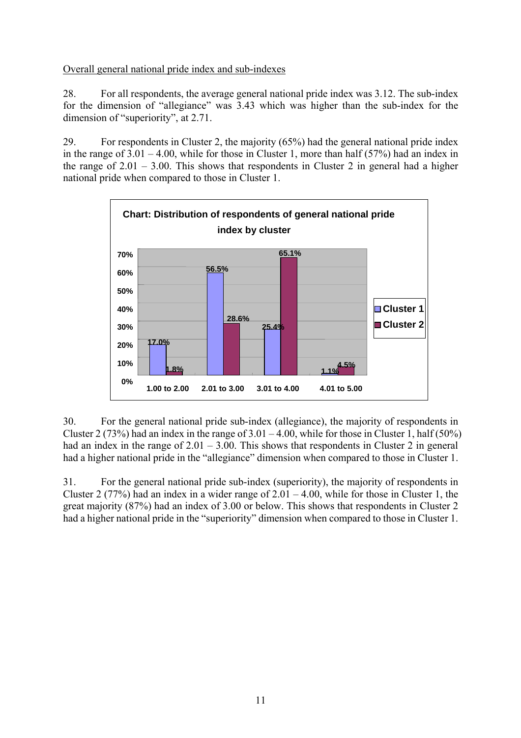## Overall general national pride index and sub-indexes

28. For all respondents, the average general national pride index was 3.12. The sub-index for the dimension of "allegiance" was 3.43 which was higher than the sub-index for the dimension of "superiority", at 2.71.

29. For respondents in Cluster 2, the majority (65%) had the general national pride index in the range of  $3.01 - 4.00$ , while for those in Cluster 1, more than half (57%) had an index in the range of  $2.01 - 3.00$ . This shows that respondents in Cluster 2 in general had a higher national pride when compared to those in Cluster 1.



30. For the general national pride sub-index (allegiance), the majority of respondents in Cluster 2 (73%) had an index in the range of  $3.01 - 4.00$ , while for those in Cluster 1, half (50%) had an index in the range of  $2.01 - 3.00$ . This shows that respondents in Cluster 2 in general had a higher national pride in the "allegiance" dimension when compared to those in Cluster 1.

31. For the general national pride sub-index (superiority), the majority of respondents in Cluster 2 (77%) had an index in a wider range of  $2.01 - 4.00$ , while for those in Cluster 1, the great majority (87%) had an index of 3.00 or below. This shows that respondents in Cluster 2 had a higher national pride in the "superiority" dimension when compared to those in Cluster 1.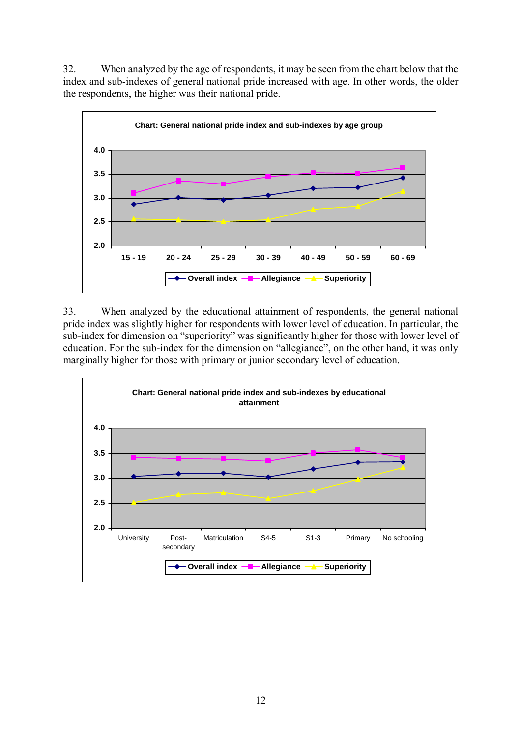32. When analyzed by the age of respondents, it may be seen from the chart below that the index and sub-indexes of general national pride increased with age. In other words, the older the respondents, the higher was their national pride.



33. When analyzed by the educational attainment of respondents, the general national pride index was slightly higher for respondents with lower level of education. In particular, the sub-index for dimension on "superiority" was significantly higher for those with lower level of education. For the sub-index for the dimension on "allegiance", on the other hand, it was only marginally higher for those with primary or junior secondary level of education.

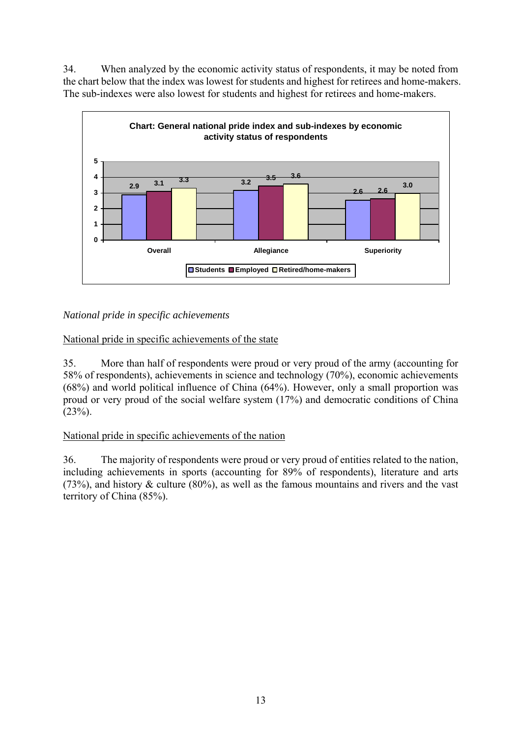34. When analyzed by the economic activity status of respondents, it may be noted from the chart below that the index was lowest for students and highest for retirees and home-makers. The sub-indexes were also lowest for students and highest for retirees and home-makers.



## *National pride in specific achievements*

National pride in specific achievements of the state

35. More than half of respondents were proud or very proud of the army (accounting for 58% of respondents), achievements in science and technology (70%), economic achievements (68%) and world political influence of China (64%). However, only a small proportion was proud or very proud of the social welfare system (17%) and democratic conditions of China  $(23%)$ .

## National pride in specific achievements of the nation

36. The majority of respondents were proud or very proud of entities related to the nation, including achievements in sports (accounting for 89% of respondents), literature and arts (73%), and history  $\&$  culture (80%), as well as the famous mountains and rivers and the vast territory of China (85%).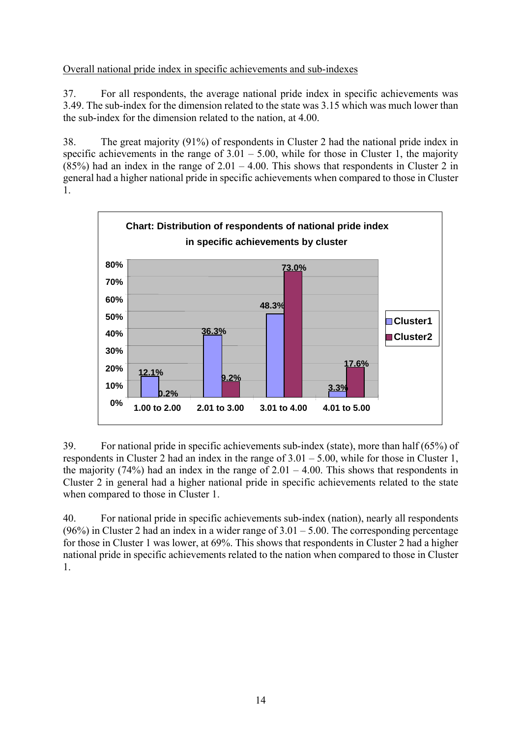## Overall national pride index in specific achievements and sub-indexes

37. For all respondents, the average national pride index in specific achievements was 3.49. The sub-index for the dimension related to the state was 3.15 which was much lower than the sub-index for the dimension related to the nation, at 4.00.

38. The great majority (91%) of respondents in Cluster 2 had the national pride index in specific achievements in the range of  $3.01 - 5.00$ , while for those in Cluster 1, the majority (85%) had an index in the range of  $2.01 - 4.00$ . This shows that respondents in Cluster 2 in general had a higher national pride in specific achievements when compared to those in Cluster 1.



39. For national pride in specific achievements sub-index (state), more than half (65%) of respondents in Cluster 2 had an index in the range of  $3.01 - 5.00$ , while for those in Cluster 1, the majority (74%) had an index in the range of  $2.01 - 4.00$ . This shows that respondents in Cluster 2 in general had a higher national pride in specific achievements related to the state when compared to those in Cluster 1.

40. For national pride in specific achievements sub-index (nation), nearly all respondents (96%) in Cluster 2 had an index in a wider range of  $3.01 - 5.00$ . The corresponding percentage for those in Cluster 1 was lower, at 69%. This shows that respondents in Cluster 2 had a higher national pride in specific achievements related to the nation when compared to those in Cluster 1.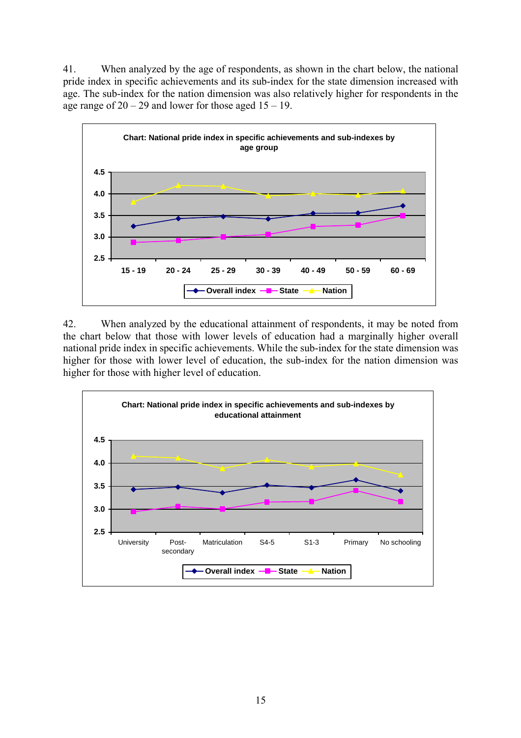41. When analyzed by the age of respondents, as shown in the chart below, the national pride index in specific achievements and its sub-index for the state dimension increased with age. The sub-index for the nation dimension was also relatively higher for respondents in the age range of  $20 - 29$  and lower for those aged  $15 - 19$ .



42. When analyzed by the educational attainment of respondents, it may be noted from the chart below that those with lower levels of education had a marginally higher overall national pride index in specific achievements. While the sub-index for the state dimension was higher for those with lower level of education, the sub-index for the nation dimension was higher for those with higher level of education.

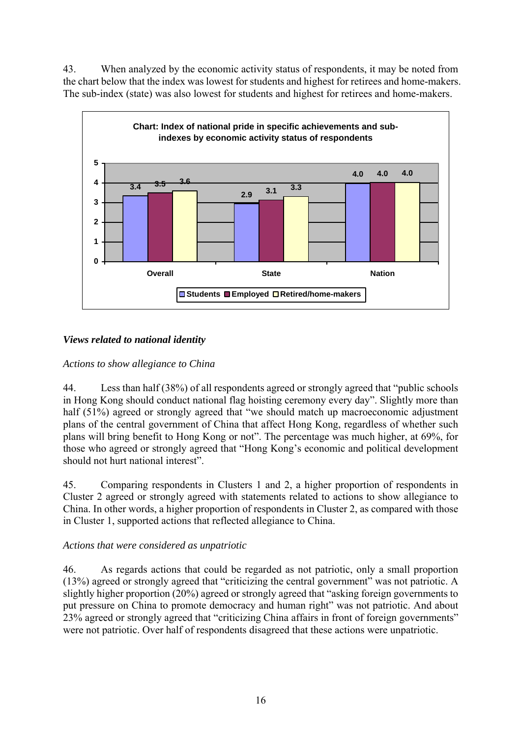43. When analyzed by the economic activity status of respondents, it may be noted from the chart below that the index was lowest for students and highest for retirees and home-makers. The sub-index (state) was also lowest for students and highest for retirees and home-makers.



## *Views related to national identity*

## *Actions to show allegiance to China*

44. Less than half (38%) of all respondents agreed or strongly agreed that "public schools in Hong Kong should conduct national flag hoisting ceremony every day". Slightly more than half (51%) agreed or strongly agreed that "we should match up macroeconomic adjustment plans of the central government of China that affect Hong Kong, regardless of whether such plans will bring benefit to Hong Kong or not". The percentage was much higher, at 69%, for those who agreed or strongly agreed that "Hong Kong's economic and political development should not hurt national interest".

45. Comparing respondents in Clusters 1 and 2, a higher proportion of respondents in Cluster 2 agreed or strongly agreed with statements related to actions to show allegiance to China. In other words, a higher proportion of respondents in Cluster 2, as compared with those in Cluster 1, supported actions that reflected allegiance to China.

## *Actions that were considered as unpatriotic*

46. As regards actions that could be regarded as not patriotic, only a small proportion (13%) agreed or strongly agreed that "criticizing the central government" was not patriotic. A slightly higher proportion (20%) agreed or strongly agreed that "asking foreign governments to put pressure on China to promote democracy and human right" was not patriotic. And about 23% agreed or strongly agreed that "criticizing China affairs in front of foreign governments" were not patriotic. Over half of respondents disagreed that these actions were unpatriotic.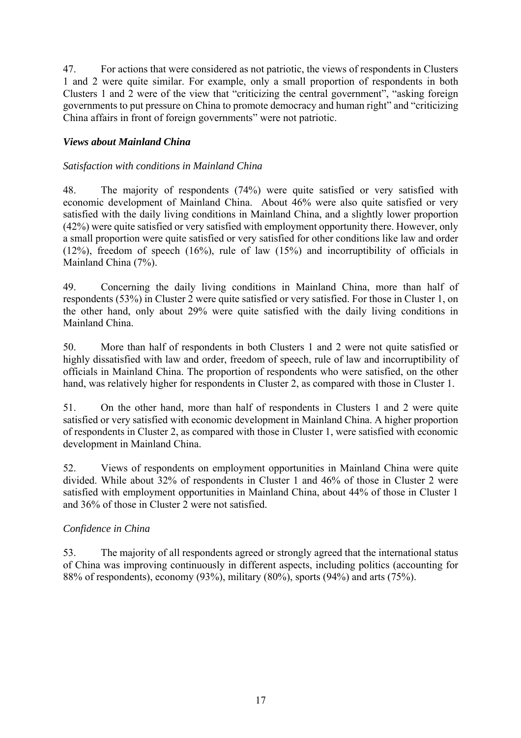47. For actions that were considered as not patriotic, the views of respondents in Clusters 1 and 2 were quite similar. For example, only a small proportion of respondents in both Clusters 1 and 2 were of the view that "criticizing the central government", "asking foreign governments to put pressure on China to promote democracy and human right" and "criticizing China affairs in front of foreign governments" were not patriotic.

## *Views about Mainland China*

#### *Satisfaction with conditions in Mainland China*

48. The majority of respondents (74%) were quite satisfied or very satisfied with economic development of Mainland China. About 46% were also quite satisfied or very satisfied with the daily living conditions in Mainland China, and a slightly lower proportion (42%) were quite satisfied or very satisfied with employment opportunity there. However, only a small proportion were quite satisfied or very satisfied for other conditions like law and order (12%), freedom of speech (16%), rule of law (15%) and incorruptibility of officials in Mainland China (7%).

49. Concerning the daily living conditions in Mainland China, more than half of respondents (53%) in Cluster 2 were quite satisfied or very satisfied. For those in Cluster 1, on the other hand, only about 29% were quite satisfied with the daily living conditions in Mainland China.

50. More than half of respondents in both Clusters 1 and 2 were not quite satisfied or highly dissatisfied with law and order, freedom of speech, rule of law and incorruptibility of officials in Mainland China. The proportion of respondents who were satisfied, on the other hand, was relatively higher for respondents in Cluster 2, as compared with those in Cluster 1.

51. On the other hand, more than half of respondents in Clusters 1 and 2 were quite satisfied or very satisfied with economic development in Mainland China. A higher proportion of respondents in Cluster 2, as compared with those in Cluster 1, were satisfied with economic development in Mainland China.

52. Views of respondents on employment opportunities in Mainland China were quite divided. While about 32% of respondents in Cluster 1 and 46% of those in Cluster 2 were satisfied with employment opportunities in Mainland China, about 44% of those in Cluster 1 and 36% of those in Cluster 2 were not satisfied.

## *Confidence in China*

53. The majority of all respondents agreed or strongly agreed that the international status of China was improving continuously in different aspects, including politics (accounting for 88% of respondents), economy (93%), military (80%), sports (94%) and arts (75%).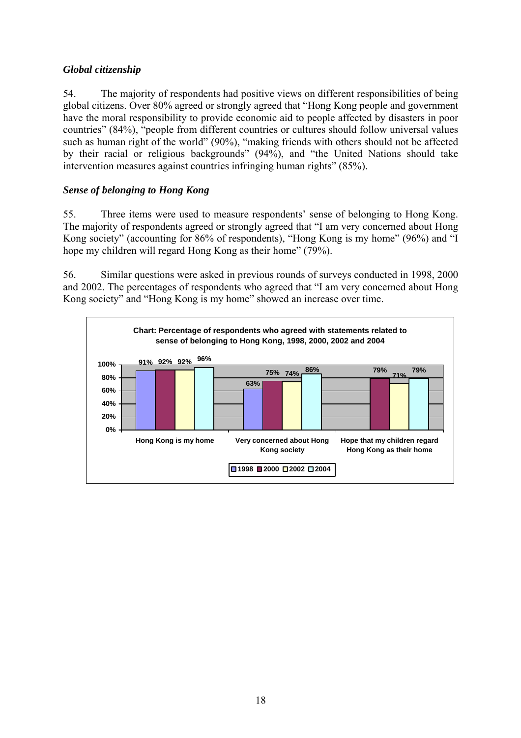## *Global citizenship*

54. The majority of respondents had positive views on different responsibilities of being global citizens. Over 80% agreed or strongly agreed that "Hong Kong people and government have the moral responsibility to provide economic aid to people affected by disasters in poor countries" (84%), "people from different countries or cultures should follow universal values such as human right of the world" (90%), "making friends with others should not be affected by their racial or religious backgrounds" (94%), and "the United Nations should take intervention measures against countries infringing human rights" (85%).

## *Sense of belonging to Hong Kong*

55. Three items were used to measure respondents' sense of belonging to Hong Kong. The majority of respondents agreed or strongly agreed that "I am very concerned about Hong Kong society" (accounting for 86% of respondents), "Hong Kong is my home" (96%) and "I hope my children will regard Hong Kong as their home" (79%).

56. Similar questions were asked in previous rounds of surveys conducted in 1998, 2000 and 2002. The percentages of respondents who agreed that "I am very concerned about Hong Kong society" and "Hong Kong is my home" showed an increase over time.

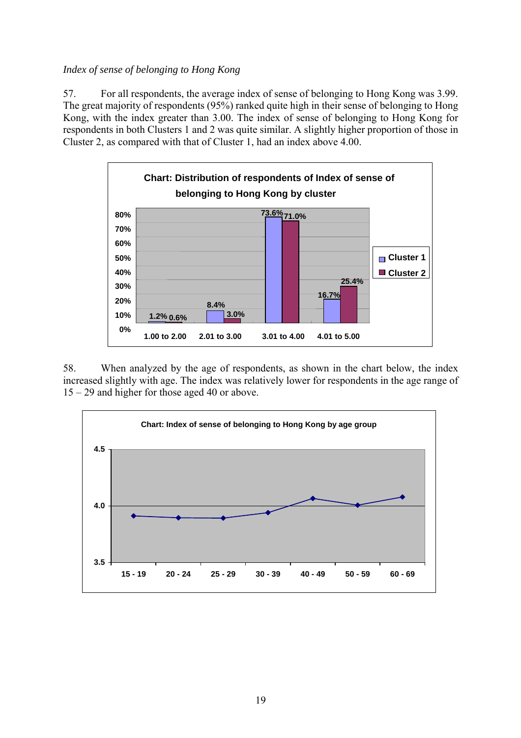## *Index of sense of belonging to Hong Kong*

57. For all respondents, the average index of sense of belonging to Hong Kong was 3.99. The great majority of respondents (95%) ranked quite high in their sense of belonging to Hong Kong, with the index greater than 3.00. The index of sense of belonging to Hong Kong for respondents in both Clusters 1 and 2 was quite similar. A slightly higher proportion of those in Cluster 2, as compared with that of Cluster 1, had an index above 4.00.



58. When analyzed by the age of respondents, as shown in the chart below, the index increased slightly with age. The index was relatively lower for respondents in the age range of 15 – 29 and higher for those aged 40 or above.

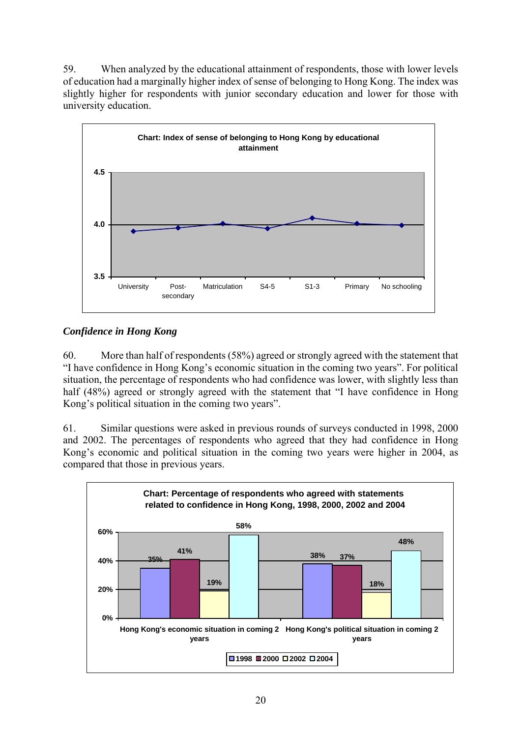59. When analyzed by the educational attainment of respondents, those with lower levels of education had a marginally higher index of sense of belonging to Hong Kong. The index was slightly higher for respondents with junior secondary education and lower for those with university education.



# *Confidence in Hong Kong*

60. More than half of respondents (58%) agreed or strongly agreed with the statement that "I have confidence in Hong Kong's economic situation in the coming two years". For political situation, the percentage of respondents who had confidence was lower, with slightly less than half (48%) agreed or strongly agreed with the statement that "I have confidence in Hong Kong's political situation in the coming two years".

61. Similar questions were asked in previous rounds of surveys conducted in 1998, 2000 and 2002. The percentages of respondents who agreed that they had confidence in Hong Kong's economic and political situation in the coming two years were higher in 2004, as compared that those in previous years.

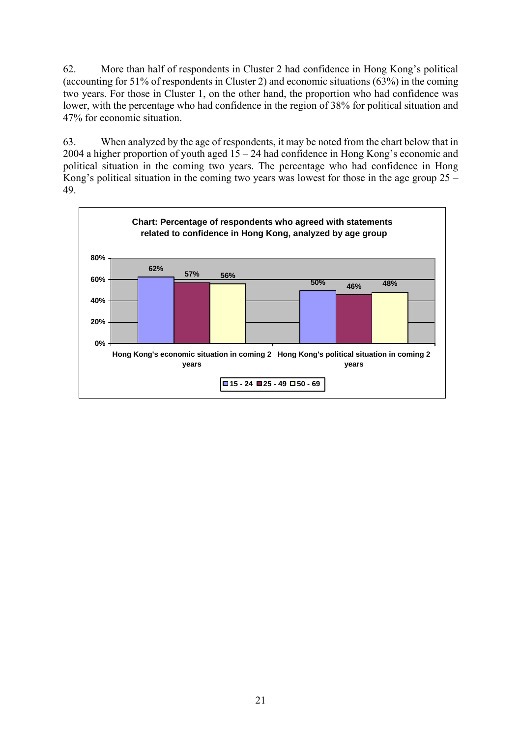62. More than half of respondents in Cluster 2 had confidence in Hong Kong's political (accounting for 51% of respondents in Cluster 2) and economic situations (63%) in the coming two years. For those in Cluster 1, on the other hand, the proportion who had confidence was lower, with the percentage who had confidence in the region of 38% for political situation and 47% for economic situation.

63. When analyzed by the age of respondents, it may be noted from the chart below that in 2004 a higher proportion of youth aged 15 – 24 had confidence in Hong Kong's economic and political situation in the coming two years. The percentage who had confidence in Hong Kong's political situation in the coming two years was lowest for those in the age group  $25 -$ 49.

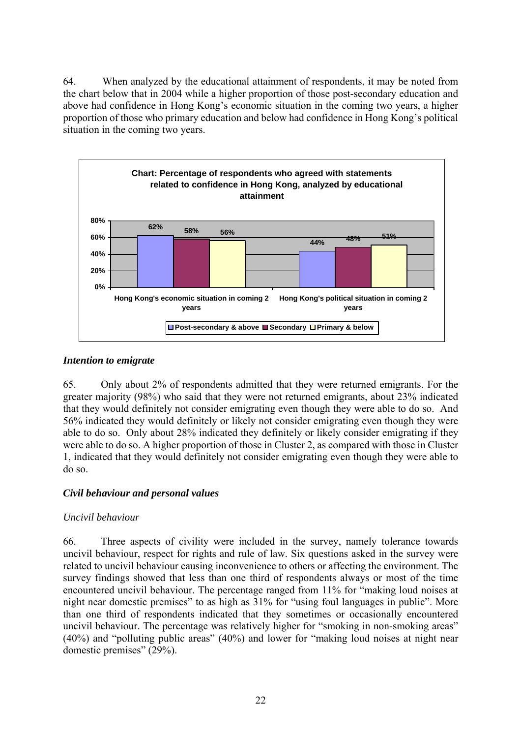64. When analyzed by the educational attainment of respondents, it may be noted from the chart below that in 2004 while a higher proportion of those post-secondary education and above had confidence in Hong Kong's economic situation in the coming two years, a higher proportion of those who primary education and below had confidence in Hong Kong's political situation in the coming two years.



## *Intention to emigrate*

65. Only about 2% of respondents admitted that they were returned emigrants. For the greater majority (98%) who said that they were not returned emigrants, about 23% indicated that they would definitely not consider emigrating even though they were able to do so. And 56% indicated they would definitely or likely not consider emigrating even though they were able to do so. Only about 28% indicated they definitely or likely consider emigrating if they were able to do so. A higher proportion of those in Cluster 2, as compared with those in Cluster 1, indicated that they would definitely not consider emigrating even though they were able to do so.

## *Civil behaviour and personal values*

#### *Uncivil behaviour*

66. Three aspects of civility were included in the survey, namely tolerance towards uncivil behaviour, respect for rights and rule of law. Six questions asked in the survey were related to uncivil behaviour causing inconvenience to others or affecting the environment. The survey findings showed that less than one third of respondents always or most of the time encountered uncivil behaviour. The percentage ranged from 11% for "making loud noises at night near domestic premises" to as high as 31% for "using foul languages in public". More than one third of respondents indicated that they sometimes or occasionally encountered uncivil behaviour. The percentage was relatively higher for "smoking in non-smoking areas" (40%) and "polluting public areas" (40%) and lower for "making loud noises at night near domestic premises" (29%).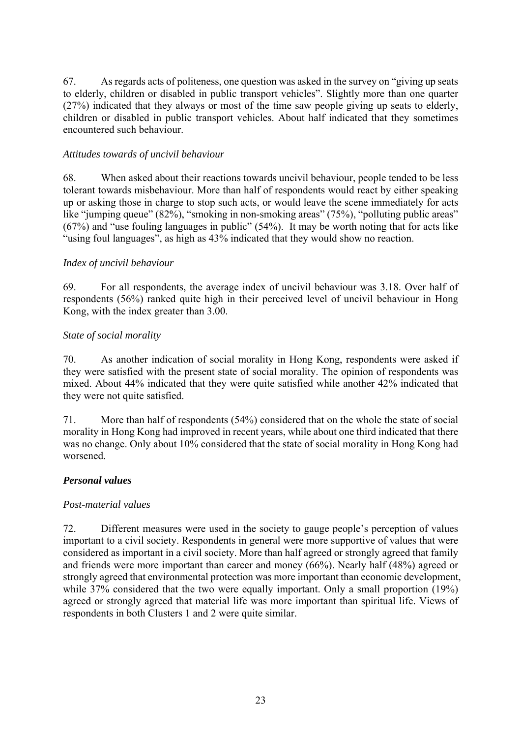67. As regards acts of politeness, one question was asked in the survey on "giving up seats to elderly, children or disabled in public transport vehicles". Slightly more than one quarter (27%) indicated that they always or most of the time saw people giving up seats to elderly, children or disabled in public transport vehicles. About half indicated that they sometimes encountered such behaviour.

## *Attitudes towards of uncivil behaviour*

68. When asked about their reactions towards uncivil behaviour, people tended to be less tolerant towards misbehaviour. More than half of respondents would react by either speaking up or asking those in charge to stop such acts, or would leave the scene immediately for acts like "jumping queue" (82%), "smoking in non-smoking areas" (75%), "polluting public areas" (67%) and "use fouling languages in public" (54%). It may be worth noting that for acts like "using foul languages", as high as 43% indicated that they would show no reaction.

## *Index of uncivil behaviour*

69. For all respondents, the average index of uncivil behaviour was 3.18. Over half of respondents (56%) ranked quite high in their perceived level of uncivil behaviour in Hong Kong, with the index greater than 3.00.

## *State of social morality*

70. As another indication of social morality in Hong Kong, respondents were asked if they were satisfied with the present state of social morality. The opinion of respondents was mixed. About 44% indicated that they were quite satisfied while another 42% indicated that they were not quite satisfied.

71. More than half of respondents (54%) considered that on the whole the state of social morality in Hong Kong had improved in recent years, while about one third indicated that there was no change. Only about 10% considered that the state of social morality in Hong Kong had worsened.

## *Personal values*

## *Post-material values*

72. Different measures were used in the society to gauge people's perception of values important to a civil society. Respondents in general were more supportive of values that were considered as important in a civil society. More than half agreed or strongly agreed that family and friends were more important than career and money (66%). Nearly half (48%) agreed or strongly agreed that environmental protection was more important than economic development, while 37% considered that the two were equally important. Only a small proportion (19%) agreed or strongly agreed that material life was more important than spiritual life. Views of respondents in both Clusters 1 and 2 were quite similar.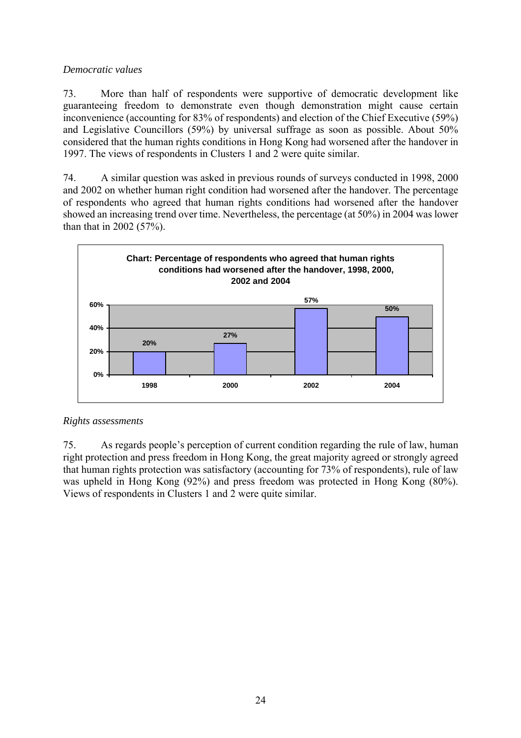## *Democratic values*

73. More than half of respondents were supportive of democratic development like guaranteeing freedom to demonstrate even though demonstration might cause certain inconvenience (accounting for 83% of respondents) and election of the Chief Executive (59%) and Legislative Councillors (59%) by universal suffrage as soon as possible. About 50% considered that the human rights conditions in Hong Kong had worsened after the handover in 1997. The views of respondents in Clusters 1 and 2 were quite similar.

74. A similar question was asked in previous rounds of surveys conducted in 1998, 2000 and 2002 on whether human right condition had worsened after the handover. The percentage of respondents who agreed that human rights conditions had worsened after the handover showed an increasing trend over time. Nevertheless, the percentage (at 50%) in 2004 was lower than that in 2002 (57%).



## *Rights assessments*

75. As regards people's perception of current condition regarding the rule of law, human right protection and press freedom in Hong Kong, the great majority agreed or strongly agreed that human rights protection was satisfactory (accounting for 73% of respondents), rule of law was upheld in Hong Kong (92%) and press freedom was protected in Hong Kong (80%). Views of respondents in Clusters 1 and 2 were quite similar.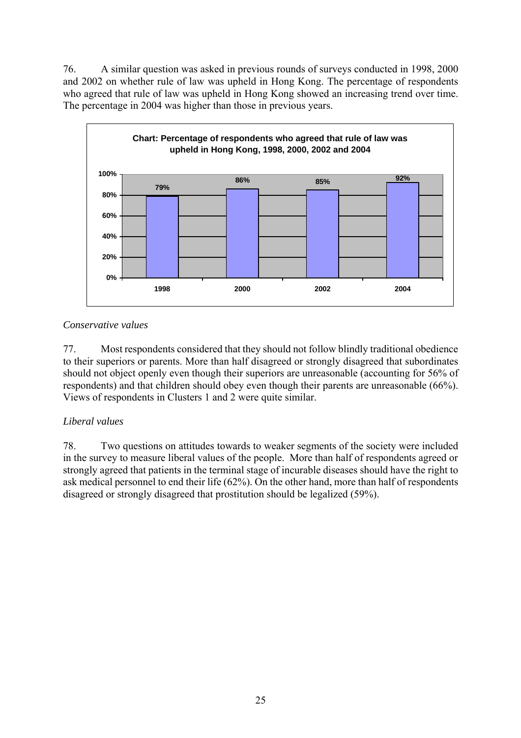76. A similar question was asked in previous rounds of surveys conducted in 1998, 2000 and 2002 on whether rule of law was upheld in Hong Kong. The percentage of respondents who agreed that rule of law was upheld in Hong Kong showed an increasing trend over time. The percentage in 2004 was higher than those in previous years.



## *Conservative values*

77. Most respondents considered that they should not follow blindly traditional obedience to their superiors or parents. More than half disagreed or strongly disagreed that subordinates should not object openly even though their superiors are unreasonable (accounting for 56% of respondents) and that children should obey even though their parents are unreasonable (66%). Views of respondents in Clusters 1 and 2 were quite similar.

## *Liberal values*

78. Two questions on attitudes towards to weaker segments of the society were included in the survey to measure liberal values of the people. More than half of respondents agreed or strongly agreed that patients in the terminal stage of incurable diseases should have the right to ask medical personnel to end their life (62%). On the other hand, more than half of respondents disagreed or strongly disagreed that prostitution should be legalized (59%).